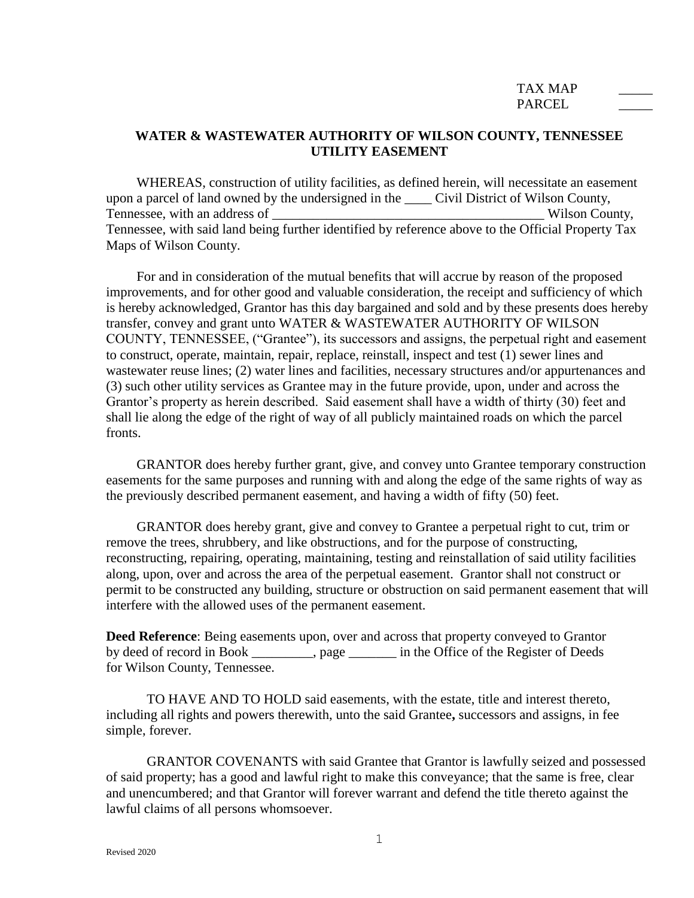## TAX MAP PARCEL.

## **WATER & WASTEWATER AUTHORITY OF WILSON COUNTY, TENNESSEE UTILITY EASEMENT**

WHEREAS, construction of utility facilities, as defined herein, will necessitate an easement upon a parcel of land owned by the undersigned in the \_\_\_\_ Civil District of Wilson County, Tennessee, with an address of the same of the set of the set of the Wilson County, Tennessee, with said land being further identified by reference above to the Official Property Tax Maps of Wilson County.

For and in consideration of the mutual benefits that will accrue by reason of the proposed improvements, and for other good and valuable consideration, the receipt and sufficiency of which is hereby acknowledged, Grantor has this day bargained and sold and by these presents does hereby transfer, convey and grant unto WATER & WASTEWATER AUTHORITY OF WILSON COUNTY, TENNESSEE, ("Grantee"), its successors and assigns, the perpetual right and easement to construct, operate, maintain, repair, replace, reinstall, inspect and test (1) sewer lines and wastewater reuse lines; (2) water lines and facilities, necessary structures and/or appurtenances and (3) such other utility services as Grantee may in the future provide, upon, under and across the Grantor's property as herein described. Said easement shall have a width of thirty (30) feet and shall lie along the edge of the right of way of all publicly maintained roads on which the parcel fronts.

GRANTOR does hereby further grant, give, and convey unto Grantee temporary construction easements for the same purposes and running with and along the edge of the same rights of way as the previously described permanent easement, and having a width of fifty (50) feet.

GRANTOR does hereby grant, give and convey to Grantee a perpetual right to cut, trim or remove the trees, shrubbery, and like obstructions, and for the purpose of constructing, reconstructing, repairing, operating, maintaining, testing and reinstallation of said utility facilities along, upon, over and across the area of the perpetual easement. Grantor shall not construct or permit to be constructed any building, structure or obstruction on said permanent easement that will interfere with the allowed uses of the permanent easement.

**Deed Reference**: Being easements upon, over and across that property conveyed to Grantor by deed of record in Book \_\_\_\_\_\_\_\_\_, page \_\_\_\_\_\_\_ in the Office of the Register of Deeds for Wilson County, Tennessee.

TO HAVE AND TO HOLD said easements, with the estate, title and interest thereto, including all rights and powers therewith, unto the said Grantee**,** successors and assigns, in fee simple, forever.

GRANTOR COVENANTS with said Grantee that Grantor is lawfully seized and possessed of said property; has a good and lawful right to make this conveyance; that the same is free, clear and unencumbered; and that Grantor will forever warrant and defend the title thereto against the lawful claims of all persons whomsoever.